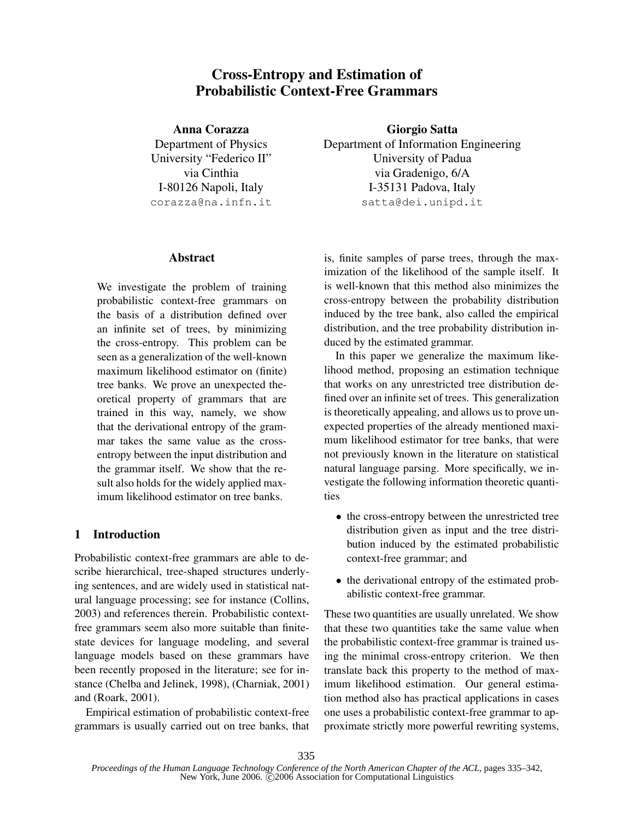# Cross-Entropy and Estimation of Probabilistic Context-Free Grammars

Anna Corazza Department of Physics University "Federico II" via Cinthia I-80126 Napoli, Italy corazza@na.infn.it

## **Abstract**

We investigate the problem of training probabilistic context-free grammars on the basis of a distribution defined over an infinite set of trees, by minimizing the cross-entropy. This problem can be seen as a generalization of the well-known maximum likelihood estimator on (finite) tree banks. We prove an unexpected theoretical property of grammars that are trained in this way, namely, we show that the derivational entropy of the grammar takes the same value as the crossentropy between the input distribution and the grammar itself. We show that the result also holds for the widely applied maximum likelihood estimator on tree banks.

# 1 Introduction

Probabilistic context-free grammars are able to describe hierarchical, tree-shaped structures underlying sentences, and are widely used in statistical natural language processing; see for instance (Collins, 2003) and references therein. Probabilistic contextfree grammars seem also more suitable than finitestate devices for language modeling, and several language models based on these grammars have been recently proposed in the literature; see for instance (Chelba and Jelinek, 1998), (Charniak, 2001) and (Roark, 2001).

Empirical estimation of probabilistic context-free grammars is usually carried out on tree banks, that

Giorgio Satta Department of Information Engineering University of Padua via Gradenigo, 6/A I-35131 Padova, Italy satta@dei.unipd.it

is, finite samples of parse trees, through the maximization of the likelihood of the sample itself. It is well-known that this method also minimizes the cross-entropy between the probability distribution induced by the tree bank, also called the empirical distribution, and the tree probability distribution induced by the estimated grammar.

In this paper we generalize the maximum likelihood method, proposing an estimation technique that works on any unrestricted tree distribution defined over an infinite set of trees. This generalization is theoretically appealing, and allows us to prove unexpected properties of the already mentioned maximum likelihood estimator for tree banks, that were not previously known in the literature on statistical natural language parsing. More specifically, we investigate the following information theoretic quantities

- the cross-entropy between the unrestricted tree distribution given as input and the tree distribution induced by the estimated probabilistic context-free grammar; and
- the derivational entropy of the estimated probabilistic context-free grammar.

These two quantities are usually unrelated. We show that these two quantities take the same value when the probabilistic context-free grammar is trained using the minimal cross-entropy criterion. We then translate back this property to the method of maximum likelihood estimation. Our general estimation method also has practical applications in cases one uses a probabilistic context-free grammar to approximate strictly more powerful rewriting systems,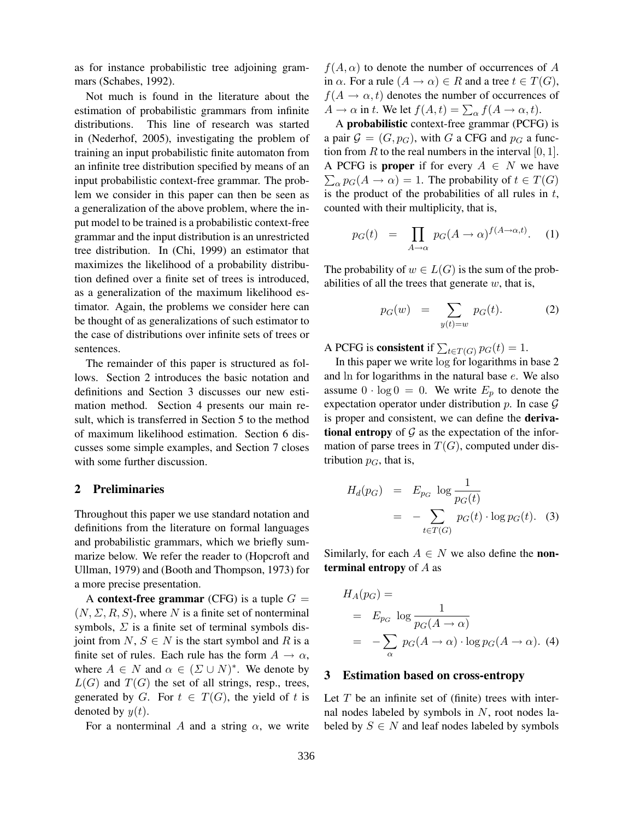as for instance probabilistic tree adjoining grammars (Schabes, 1992).

Not much is found in the literature about the estimation of probabilistic grammars from infinite distributions. This line of research was started in (Nederhof, 2005), investigating the problem of training an input probabilistic finite automaton from an infinite tree distribution specified by means of an input probabilistic context-free grammar. The problem we consider in this paper can then be seen as a generalization of the above problem, where the input model to be trained is a probabilistic context-free grammar and the input distribution is an unrestricted tree distribution. In (Chi, 1999) an estimator that maximizes the likelihood of a probability distribution defined over a finite set of trees is introduced, as a generalization of the maximum likelihood estimator. Again, the problems we consider here can be thought of as generalizations of such estimator to the case of distributions over infinite sets of trees or sentences.

The remainder of this paper is structured as follows. Section 2 introduces the basic notation and definitions and Section 3 discusses our new estimation method. Section 4 presents our main result, which is transferred in Section 5 to the method of maximum likelihood estimation. Section 6 discusses some simple examples, and Section 7 closes with some further discussion.

#### 2 Preliminaries

Throughout this paper we use standard notation and definitions from the literature on formal languages and probabilistic grammars, which we briefly summarize below. We refer the reader to (Hopcroft and Ullman, 1979) and (Booth and Thompson, 1973) for a more precise presentation.

A context-free grammar (CFG) is a tuple  $G =$  $(N, \Sigma, R, S)$ , where N is a finite set of nonterminal symbols,  $\Sigma$  is a finite set of terminal symbols disjoint from  $N, S \in N$  is the start symbol and R is a finite set of rules. Each rule has the form  $A \rightarrow \alpha$ , where  $A \in N$  and  $\alpha \in (\Sigma \cup N)^*$ . We denote by  $L(G)$  and  $T(G)$  the set of all strings, resp., trees, generated by G. For  $t \in T(G)$ , the yield of t is denoted by  $y(t)$ .

For a nonterminal A and a string  $\alpha$ , we write

 $f(A, \alpha)$  to denote the number of occurrences of A in  $\alpha$ . For a rule  $(A \to \alpha) \in R$  and a tree  $t \in T(G)$ ,  $f(A \rightarrow \alpha, t)$  denotes the number of occurrences of  $A \to \alpha$  in t. We let  $f(A, t) = \sum_{\alpha} f(A \to \alpha, t)$ .

A probabilistic context-free grammar (PCFG) is a pair  $G = (G, p_G)$ , with G a CFG and  $p_G$  a function from R to the real numbers in the interval  $[0, 1]$ . A PCFG is **proper** if for every  $A \in N$  we have  $\sum_{\alpha} p_G(A \to \alpha) = 1$ . The probability of  $t \in T(G)$ is the product of the probabilities of all rules in  $t$ , counted with their multiplicity, that is,

$$
p_G(t) = \prod_{A \to \alpha} p_G(A \to \alpha)^{f(A \to \alpha, t)}.
$$
 (1)

The probability of  $w \in L(G)$  is the sum of the probabilities of all the trees that generate  $w$ , that is,

$$
p_G(w) = \sum_{y(t)=w} p_G(t). \tag{2}
$$

A PCFG is **consistent** if  $\sum_{t \in T(G)} p_G(t) = 1$ .

In this paper we write log for logarithms in base 2 and ln for logarithms in the natural base e. We also assume  $0 \cdot \log 0 = 0$ . We write  $E_p$  to denote the expectation operator under distribution  $p$ . In case  $\mathcal G$ is proper and consistent, we can define the derivational entropy of  $G$  as the expectation of the information of parse trees in  $T(G)$ , computed under distribution  $p_G$ , that is,

$$
H_d(p_G) = E_{p_G} \log \frac{1}{p_G(t)}
$$
  
= 
$$
-\sum_{t \in T(G)} p_G(t) \cdot \log p_G(t). \quad (3)
$$

Similarly, for each  $A \in N$  we also define the **non**terminal entropy of  $A$  as

$$
H_A(p_G) =
$$
  
=  $E_{p_G} \log \frac{1}{p_G(A \to \alpha)}$   
=  $-\sum_{\alpha} p_G(A \to \alpha) \cdot \log p_G(A \to \alpha)$ . (4)

#### 3 Estimation based on cross-entropy

Let  $T$  be an infinite set of (finite) trees with internal nodes labeled by symbols in  $N$ , root nodes labeled by  $S \in N$  and leaf nodes labeled by symbols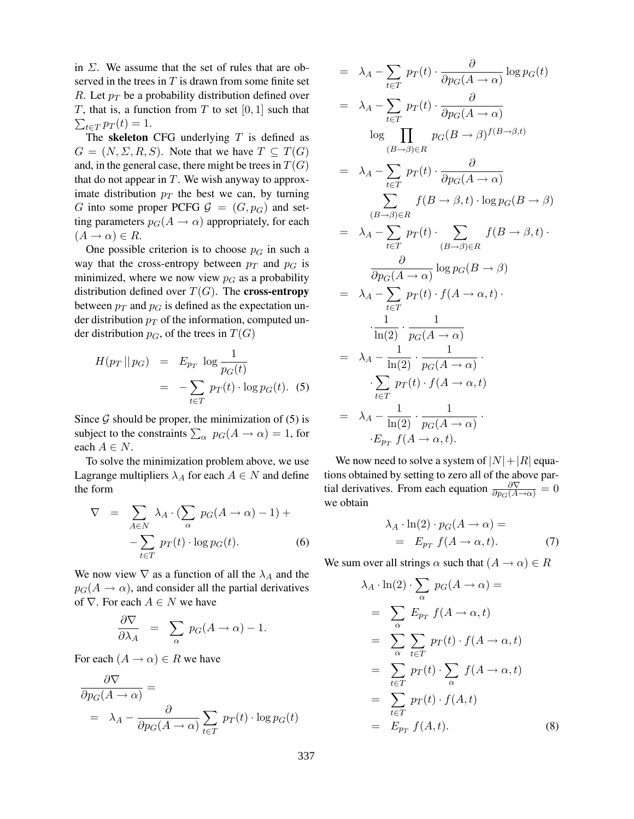in  $\Sigma$ . We assume that the set of rules that are observed in the trees in  $T$  is drawn from some finite set R. Let  $p_T$  be a probability distribution defined over T, that is, a function from T to set  $[0, 1]$  such that  $\sum_{t \in T} p_T(t) = 1.$ 

The skeleton CFG underlying  $T$  is defined as  $G = (N, \Sigma, R, S)$ . Note that we have  $T \subseteq T(G)$ and, in the general case, there might be trees in  $T(G)$ that do not appear in  $T$ . We wish anyway to approximate distribution  $p_T$  the best we can, by turning G into some proper PCFG  $\mathcal{G} = (G, p_G)$  and setting parameters  $p_G(A \rightarrow \alpha)$  appropriately, for each  $(A \rightarrow \alpha) \in R$ .

One possible criterion is to choose  $p<sub>G</sub>$  in such a way that the cross-entropy between  $p_T$  and  $p_G$  is minimized, where we now view  $p<sub>G</sub>$  as a probability distribution defined over  $T(G)$ . The cross-entropy between  $p_T$  and  $p_G$  is defined as the expectation under distribution  $p_T$  of the information, computed under distribution  $p<sub>G</sub>$ , of the trees in  $T(G)$ 

$$
H(p_T || p_G) = E_{p_T} \log \frac{1}{p_G(t)}
$$
  
= 
$$
-\sum_{t \in T} p_T(t) \cdot \log p_G(t).
$$
 (5)

Since  $\mathcal G$  should be proper, the minimization of (5) is subject to the constraints  $\sum_{\alpha} p_G(A \to \alpha) = 1$ , for each  $A \in N$ .

To solve the minimization problem above, we use Lagrange multipliers  $\lambda_A$  for each  $A \in N$  and define the form

$$
\nabla = \sum_{A \in N} \lambda_A \cdot (\sum_{\alpha} p_G(A \to \alpha) - 1) + \n- \sum_{t \in T} p_T(t) \cdot \log p_G(t).
$$
\n(6)

We now view  $\nabla$  as a function of all the  $\lambda_A$  and the  $p_G(A \rightarrow \alpha)$ , and consider all the partial derivatives of  $\nabla$ . For each  $A \in N$  we have

$$
\frac{\partial \nabla}{\partial \lambda_A} = \sum_{\alpha} p_G(A \to \alpha) - 1.
$$

For each  $(A \to \alpha) \in R$  we have

$$
\frac{\partial \nabla}{\partial p_G(A \to \alpha)} =
$$
  
=  $\lambda_A - \frac{\partial}{\partial p_G(A \to \alpha)} \sum_{t \in T} p_T(t) \cdot \log p_G(t)$ 

$$
= \lambda_A - \sum_{t \in T} p_T(t) \cdot \frac{\partial}{\partial p_G(A \to \alpha)} \log p_G(t)
$$
  
\n
$$
= \lambda_A - \sum_{t \in T} p_T(t) \cdot \frac{\partial}{\partial p_G(A \to \alpha)}
$$
  
\n
$$
\log \prod_{(B \to \beta) \in R} p_G(B \to \beta)^{f(B \to \beta, t)}
$$
  
\n
$$
= \lambda_A - \sum_{t \in T} p_T(t) \cdot \frac{\partial}{\partial p_G(A \to \alpha)}
$$
  
\n
$$
\sum_{(B \to \beta) \in R} f(B \to \beta, t) \cdot \log p_G(B \to \beta)
$$
  
\n
$$
= \lambda_A - \sum_{t \in T} p_T(t) \cdot \sum_{(B \to \beta) \in R} f(B \to \beta, t) \cdot \frac{\partial}{\partial p_G(A \to \alpha)} \log p_G(B \to \beta)
$$
  
\n
$$
= \lambda_A - \sum_{t \in T} p_T(t) \cdot f(A \to \alpha, t) \cdot \frac{1}{\ln(2)} \cdot \frac{1}{p_G(A \to \alpha)}
$$
  
\n
$$
= \lambda_A - \frac{1}{\ln(2)} \cdot \frac{1}{p_G(A \to \alpha)} \cdot \frac{1}{\ln(2) \cdot \frac{1}{p_G(A \to \alpha)}} \cdot \frac{1}{\ln(2) \cdot \frac{1}{p_G(A \to \alpha)}} \cdot \frac{1}{\ln(2) \cdot \frac{1}{p_G(A \to \alpha)}} \cdot \frac{1}{\ln(2) \cdot \frac{1}{p_G(A \to \alpha)}} \cdot \frac{1}{\ln(2) \cdot \frac{1}{p_G(A \to \alpha)}} \cdot \frac{1}{\ln(2) \cdot \frac{1}{p_G(A \to \alpha)}} \cdot \frac{1}{\ln(2) \cdot \frac{1}{p_G(A \to \alpha)}} \cdot \frac{1}{\ln(2) \cdot \frac{1}{p_G(A \to \alpha)}} \cdot \frac{1}{\ln(2) \cdot \frac{1}{p_G(A \to \alpha)}} \cdot \frac{1}{\ln(2) \cdot \frac{1}{p_G(A \to \alpha)}} \cdot \frac{1}{\ln(2) \cdot \frac{1}{p_G(A \to \alpha)}} \cdot \frac{1}{\ln(2) \cdot \frac{1}{p_G(A \to \alpha)}} \cdot \frac{1}{\ln(2) \cdot \frac{1}{p_G(A \to \alpha)}} \cdot
$$

We now need to solve a system of  $|N|+|R|$  equations obtained by setting to zero all of the above partial derivatives. From each equation  $\frac{\partial \nabla}{\partial p_G(A \to \alpha)} = 0$ we obtain

$$
\lambda_A \cdot \ln(2) \cdot p_G(A \to \alpha) =
$$
  
=  $E_{p_T} f(A \to \alpha, t).$  (7)

We sum over all strings  $\alpha$  such that  $(A \rightarrow \alpha) \in R$ 

$$
\lambda_A \cdot \ln(2) \cdot \sum_{\alpha} p_G(A \to \alpha) =
$$
\n
$$
= \sum_{\alpha} E_{p_T} f(A \to \alpha, t)
$$
\n
$$
= \sum_{\alpha} \sum_{t \in T} p_T(t) \cdot f(A \to \alpha, t)
$$
\n
$$
= \sum_{t \in T} p_T(t) \cdot \sum_{\alpha} f(A \to \alpha, t)
$$
\n
$$
= \sum_{t \in T} p_T(t) \cdot f(A, t)
$$
\n
$$
= E_{p_T} f(A, t).
$$
\n(8)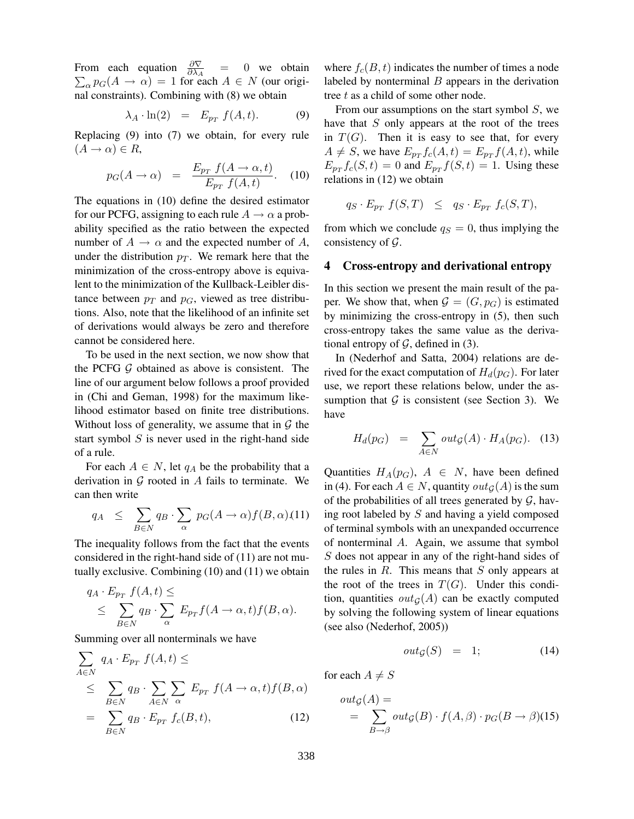From each equation  $\frac{\partial \nabla}{\partial \lambda_A}$  = 0 we obtain  $\sum_{\alpha} p_G(A \to \alpha) = 1$  for each  $A \in N$  (our original constraints). Combining with (8) we obtain

$$
\lambda_A \cdot \ln(2) = E_{p_T} f(A, t). \tag{9}
$$

Replacing (9) into (7) we obtain, for every rule  $(A \rightarrow \alpha) \in R$ ,

$$
p_G(A \to \alpha) = \frac{E_{p_T} f(A \to \alpha, t)}{E_{p_T} f(A, t)}.
$$
 (10)

The equations in (10) define the desired estimator for our PCFG, assigning to each rule  $A \rightarrow \alpha$  a probability specified as the ratio between the expected number of  $A \to \alpha$  and the expected number of A, under the distribution  $p_T$ . We remark here that the minimization of the cross-entropy above is equivalent to the minimization of the Kullback-Leibler distance between  $p_T$  and  $p_G$ , viewed as tree distributions. Also, note that the likelihood of an infinite set of derivations would always be zero and therefore cannot be considered here.

To be used in the next section, we now show that the PCFG  $G$  obtained as above is consistent. The line of our argument below follows a proof provided in (Chi and Geman, 1998) for the maximum likelihood estimator based on finite tree distributions. Without loss of generality, we assume that in  $\mathcal G$  the start symbol  $S$  is never used in the right-hand side of a rule.

For each  $A \in N$ , let  $q_A$  be the probability that a derivation in  $G$  rooted in A fails to terminate. We can then write

$$
q_A \leq \sum_{B \in N} q_B \cdot \sum_{\alpha} p_G(A \to \alpha) f(B, \alpha) . (11)
$$

The inequality follows from the fact that the events considered in the right-hand side of (11) are not mutually exclusive. Combining (10) and (11) we obtain

$$
q_A \cdot E_{p_T} f(A, t) \le
$$
  
\n
$$
\le \sum_{B \in N} q_B \cdot \sum_{\alpha} E_{p_T} f(A \to \alpha, t) f(B, \alpha).
$$

Summing over all nonterminals we have

$$
\sum_{A \in N} q_A \cdot E_{p_T} f(A, t) \le
$$
\n
$$
\leq \sum_{B \in N} q_B \cdot \sum_{A \in N} \sum_{\alpha} E_{p_T} f(A \to \alpha, t) f(B, \alpha)
$$
\n
$$
= \sum_{B \in N} q_B \cdot E_{p_T} f_c(B, t), \qquad (12)
$$

where  $f_c(B, t)$  indicates the number of times a node labeled by nonterminal  $B$  appears in the derivation tree  $t$  as a child of some other node.

From our assumptions on the start symbol  $S$ , we have that  $S$  only appears at the root of the trees in  $T(G)$ . Then it is easy to see that, for every  $A \neq S$ , we have  $E_{p_T} f_c(A, t) = E_{p_T} f(A, t)$ , while  $E_{p_T} f_c(S, t) = 0$  and  $E_{p_T} f(S, t) = 1$ . Using these relations in (12) we obtain

$$
q_S \cdot E_{p_T} f(S,T) \leq q_S \cdot E_{p_T} f_c(S,T),
$$

from which we conclude  $q_S = 0$ , thus implying the consistency of  $\mathcal{G}$ .

### 4 Cross-entropy and derivational entropy

In this section we present the main result of the paper. We show that, when  $\mathcal{G} = (G, p_G)$  is estimated by minimizing the cross-entropy in (5), then such cross-entropy takes the same value as the derivational entropy of  $\mathcal G$ , defined in (3).

In (Nederhof and Satta, 2004) relations are derived for the exact computation of  $H_d(p_G)$ . For later use, we report these relations below, under the assumption that  $G$  is consistent (see Section 3). We have

$$
H_d(p_G) = \sum_{A \in N} out_{\mathcal{G}}(A) \cdot H_A(p_G). \quad (13)
$$

Quantities  $H_A(p_G)$ ,  $A \in N$ , have been defined in (4). For each  $A \in N$ , quantity  $out_G(A)$  is the sum of the probabilities of all trees generated by  $G$ , having root labeled by S and having a yield composed of terminal symbols with an unexpanded occurrence of nonterminal A. Again, we assume that symbol S does not appear in any of the right-hand sides of the rules in  $R$ . This means that  $S$  only appears at the root of the trees in  $T(G)$ . Under this condition, quantities  $out_G(A)$  can be exactly computed by solving the following system of linear equations (see also (Nederhof, 2005))

$$
out_{\mathcal{G}}(S) = 1; \tag{14}
$$

for each  $A \neq S$ 

$$
out_{\mathcal{G}}(A) = \sum_{B \to \beta} out_{\mathcal{G}}(B) \cdot f(A, \beta) \cdot p_G(B \to \beta)(15)
$$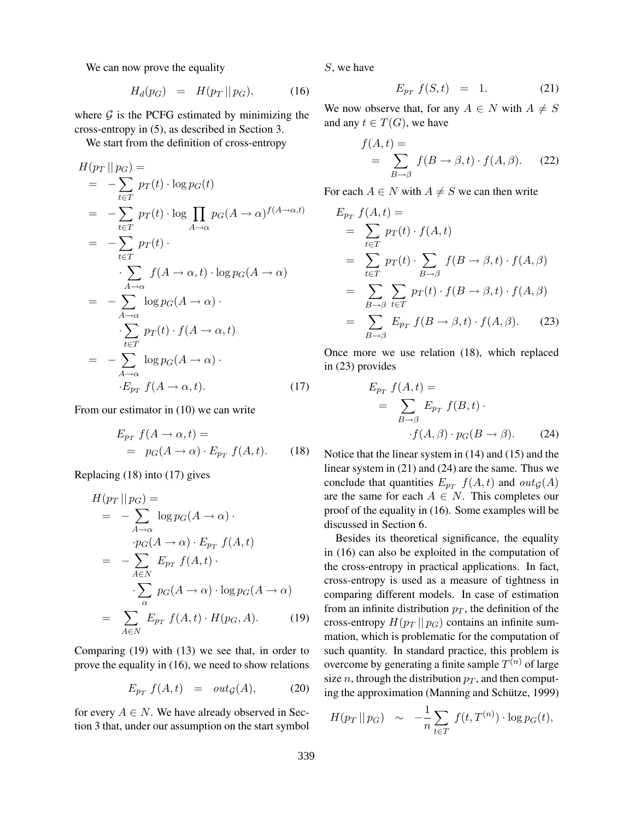We can now prove the equality

$$
H_d(p_G) = H(p_T || p_G), \qquad (16)
$$

where  $G$  is the PCFG estimated by minimizing the cross-entropy in (5), as described in Section 3.

We start from the definition of cross-entropy

$$
H(p_T || p_G) =
$$
  
\n
$$
= -\sum_{t \in T} p_T(t) \cdot \log p_G(t)
$$
  
\n
$$
= -\sum_{t \in T} p_T(t) \cdot \log \prod_{A \to \alpha} p_G(A \to \alpha)^{f(A \to \alpha, t)}
$$
  
\n
$$
= -\sum_{t \in T} p_T(t) \cdot \sum_{A \to \alpha} f(A \to \alpha, t) \cdot \log p_G(A \to \alpha)
$$
  
\n
$$
= -\sum_{A \to \alpha} \log p_G(A \to \alpha) \cdot \sum_{t \in T} p_T(t) \cdot f(A \to \alpha, t)
$$
  
\n
$$
= -\sum_{A \to \alpha} \log p_G(A \to \alpha) \cdot \sum_{t \in p_T} f(A \to \alpha, t).
$$
 (17)

From our estimator in (10) we can write

$$
E_{p_T} f(A \to \alpha, t) =
$$
  
=  $p_G(A \to \alpha) \cdot E_{p_T} f(A, t).$  (18)

Replacing (18) into (17) gives

$$
H(p_T || p_G) =
$$
  
=  $-\sum_{A \to \alpha} \log p_G(A \to \alpha) \cdot$   
 $p_G(A \to \alpha) \cdot E_{p_T} f(A, t)$   
=  $-\sum_{A \in N} E_{p_T} f(A, t) \cdot$   
 $\cdot \sum_{\alpha} p_G(A \to \alpha) \cdot \log p_G(A \to \alpha)$   
=  $\sum_{A \in N} E_{p_T} f(A, t) \cdot H(p_G, A).$  (19)

Comparing (19) with (13) we see that, in order to prove the equality in (16), we need to show relations

$$
E_{p_T} f(A, t) = out_{\mathcal{G}}(A), \qquad (20)
$$

for every  $A \in N$ . We have already observed in Section 3 that, under our assumption on the start symbol S, we have

$$
E_{p_T} f(S, t) = 1. \t(21)
$$

We now observe that, for any  $A \in N$  with  $A \neq S$ and any  $t \in T(G)$ , we have

$$
f(A,t) = \sum_{B \to \beta} f(B \to \beta, t) \cdot f(A, \beta). \tag{22}
$$

For each  $A \in N$  with  $A \neq S$  we can then write

$$
E_{p_T} f(A, t) =
$$
  
=  $\sum_{t \in T} p_T(t) \cdot f(A, t)$   
=  $\sum_{t \in T} p_T(t) \cdot \sum_{B \to \beta} f(B \to \beta, t) \cdot f(A, \beta)$   
=  $\sum_{B \to \beta} \sum_{t \in T} p_T(t) \cdot f(B \to \beta, t) \cdot f(A, \beta)$   
=  $\sum_{B \to \beta} E_{p_T} f(B \to \beta, t) \cdot f(A, \beta).$  (23)

Once more we use relation (18), which replaced in (23) provides

$$
E_{p_T} f(A, t) =
$$
  
= 
$$
\sum_{B \to \beta} E_{p_T} f(B, t) \cdot
$$
  

$$
\cdot f(A, \beta) \cdot p_G(B \to \beta).
$$
 (24)

Notice that the linear system in (14) and (15) and the linear system in (21) and (24) are the same. Thus we conclude that quantities  $E_{p_T}$   $f(A, t)$  and  $out_{\mathcal{G}}(A)$ are the same for each  $A \in N$ . This completes our proof of the equality in (16). Some examples will be discussed in Section 6.

Besides its theoretical significance, the equality in (16) can also be exploited in the computation of the cross-entropy in practical applications. In fact, cross-entropy is used as a measure of tightness in comparing different models. In case of estimation from an infinite distribution  $p_T$ , the definition of the cross-entropy  $H(p_T || p_G)$  contains an infinite summation, which is problematic for the computation of such quantity. In standard practice, this problem is overcome by generating a finite sample  $T^{(n)}$  of large size n, through the distribution  $p_T$ , and then computing the approximation (Manning and Schütze, 1999)

$$
H(p_T || p_G) \sim -\frac{1}{n} \sum_{t \in T} f(t, T^{(n)}) \cdot \log p_G(t),
$$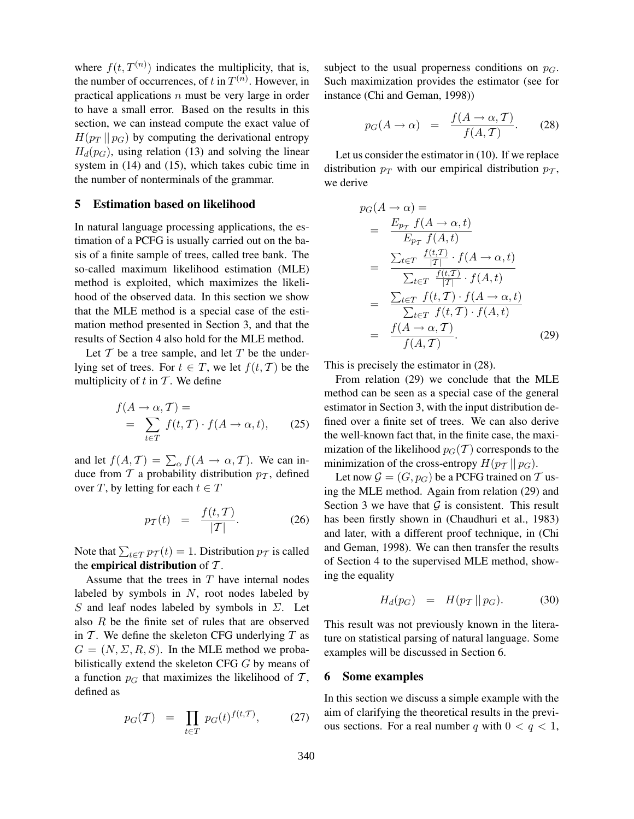where  $f(t, T^{(n)})$  indicates the multiplicity, that is, the number of occurrences, of t in  $T^{(n)}$ . However, in practical applications  $n$  must be very large in order to have a small error. Based on the results in this section, we can instead compute the exact value of  $H(p_T || p_G)$  by computing the derivational entropy  $H_d(p_G)$ , using relation (13) and solving the linear system in (14) and (15), which takes cubic time in the number of nonterminals of the grammar.

## 5 Estimation based on likelihood

In natural language processing applications, the estimation of a PCFG is usually carried out on the basis of a finite sample of trees, called tree bank. The so-called maximum likelihood estimation (MLE) method is exploited, which maximizes the likelihood of the observed data. In this section we show that the MLE method is a special case of the estimation method presented in Section 3, and that the results of Section 4 also hold for the MLE method.

Let  $T$  be a tree sample, and let  $T$  be the underlying set of trees. For  $t \in T$ , we let  $f(t, T)$  be the multiplicity of  $t$  in  $\mathcal T$ . We define

$$
f(A \to \alpha, T) =
$$
  
= 
$$
\sum_{t \in T} f(t, T) \cdot f(A \to \alpha, t),
$$
 (25)

and let  $f(A, \mathcal{T}) = \sum_{\alpha} f(A \rightarrow \alpha, \mathcal{T})$ . We can induce from  $\mathcal T$  a probability distribution  $p_{\mathcal T}$ , defined over T, by letting for each  $t \in T$ 

$$
p_{\mathcal{T}}(t) = \frac{f(t, \mathcal{T})}{|\mathcal{T}|}.
$$
 (26)

Note that  $\sum_{t \in T} p_{\mathcal{T}}(t) = 1$ . Distribution  $p_{\mathcal{T}}$  is called the empirical distribution of  $\mathcal T$ .

Assume that the trees in  $T$  have internal nodes labeled by symbols in  $N$ , root nodes labeled by S and leaf nodes labeled by symbols in  $\Sigma$ . Let also R be the finite set of rules that are observed in  $T$ . We define the skeleton CFG underlying  $T$  as  $G = (N, \Sigma, R, S)$ . In the MLE method we probabilistically extend the skeleton CFG G by means of a function  $p<sub>G</sub>$  that maximizes the likelihood of T, defined as

$$
p_G(T) = \prod_{t \in T} p_G(t)^{f(t,T)}, \qquad (27)
$$

subject to the usual properness conditions on  $p_G$ . Such maximization provides the estimator (see for instance (Chi and Geman, 1998))

$$
p_G(A \to \alpha) = \frac{f(A \to \alpha, T)}{f(A, T)}.
$$
 (28)

Let us consider the estimator in (10). If we replace distribution  $p_T$  with our empirical distribution  $p_T$ , we derive

$$
p_G(A \to \alpha) =
$$
\n
$$
= \frac{E_{p_T} f(A \to \alpha, t)}{E_{p_T} f(A, t)}
$$
\n
$$
= \frac{\sum_{t \in T} \frac{f(t, T)}{|T|} \cdot f(A \to \alpha, t)}{\sum_{t \in T} \frac{f(t, T)}{|T|} \cdot f(A, t)}
$$
\n
$$
= \frac{\sum_{t \in T} f(t, T) \cdot f(A \to \alpha, t)}{\sum_{t \in T} f(t, T) \cdot f(A, t)}
$$
\n
$$
= \frac{f(A \to \alpha, T)}{f(A, T)}.
$$
\n(29)

This is precisely the estimator in (28).

From relation (29) we conclude that the MLE method can be seen as a special case of the general estimator in Section 3, with the input distribution defined over a finite set of trees. We can also derive the well-known fact that, in the finite case, the maximization of the likelihood  $p_G(\mathcal{T})$  corresponds to the minimization of the cross-entropy  $H(p_T || p_G)$ .

Let now  $\mathcal{G} = (G, p_G)$  be a PCFG trained on T using the MLE method. Again from relation (29) and Section 3 we have that  $G$  is consistent. This result has been firstly shown in (Chaudhuri et al., 1983) and later, with a different proof technique, in (Chi and Geman, 1998). We can then transfer the results of Section 4 to the supervised MLE method, showing the equality

$$
H_d(p_G) = H(p_T || p_G). \tag{30}
$$

This result was not previously known in the literature on statistical parsing of natural language. Some examples will be discussed in Section 6.

#### 6 Some examples

In this section we discuss a simple example with the aim of clarifying the theoretical results in the previous sections. For a real number q with  $0 < q < 1$ ,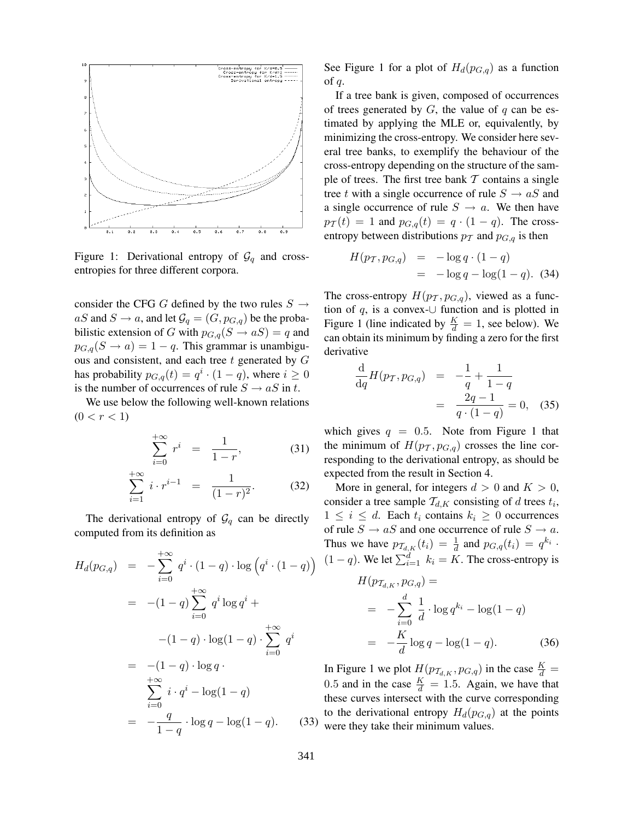

Figure 1: Derivational entropy of  $\mathcal{G}_q$  and crossentropies for three different corpora.

consider the CFG G defined by the two rules  $S \rightarrow$  $aS$  and  $S \rightarrow a$ , and let  $\mathcal{G}_q = (G, p_{G,q})$  be the probabilistic extension of G with  $p_{G,q}(S \to aS) = q$  and  $p_{G,q}(S \to a) = 1 - q$ . This grammar is unambiguous and consistent, and each tree  $t$  generated by  $G$ has probability  $p_{G,q}(t) = q^i \cdot (1-q)$ , where  $i \geq 0$ is the number of occurrences of rule  $S \to aS$  in t.

We use below the following well-known relations  $(0 < r < 1)$ 

$$
\sum_{i=0}^{+\infty} r^i = \frac{1}{1-r}, \tag{31}
$$

$$
\sum_{i=1}^{+\infty} i \cdot r^{i-1} = \frac{1}{(1-r)^2}.
$$
 (32)

The derivational entropy of  $\mathcal{G}_q$  can be directly computed from its definition as

$$
H_d(p_{G,q}) = -\sum_{i=0}^{+\infty} q^i \cdot (1-q) \cdot \log (q^i \cdot (1-q))
$$
  
= -(1-q)  $\sum_{i=0}^{+\infty} q^i \log q^i$  +  
-(1-q)  $\cdot \log(1-q) \cdot \sum_{i=0}^{+\infty} q^i$   
= -(1-q)  $\cdot \log q$  -  
 $\sum_{i=0}^{+\infty} i \cdot q^i - \log(1-q)$   
=  $-\frac{q}{1-q} \cdot \log q - \log(1-q)$ . (33)

See Figure 1 for a plot of  $H_d(p_{G,q})$  as a function of  $q$ .

If a tree bank is given, composed of occurrences of trees generated by  $G$ , the value of  $q$  can be estimated by applying the MLE or, equivalently, by minimizing the cross-entropy. We consider here several tree banks, to exemplify the behaviour of the cross-entropy depending on the structure of the sample of trees. The first tree bank  $T$  contains a single tree t with a single occurrence of rule  $S \to aS$  and a single occurrence of rule  $S \rightarrow a$ . We then have  $p_T(t) = 1$  and  $p_{G,q}(t) = q \cdot (1 - q)$ . The crossentropy between distributions  $p_T$  and  $p_{G,q}$  is then

$$
H(p_T, p_{G,q}) = -\log q \cdot (1-q)
$$
  
=  $-\log q - \log(1-q)$ . (34)

The cross-entropy  $H(p_T, p_{G,q})$ , viewed as a function of  $q$ , is a convex-∪ function and is plotted in Figure 1 (line indicated by  $\frac{K}{d} = 1$ , see below). We can obtain its minimum by finding a zero for the first derivative

$$
\frac{\mathrm{d}}{\mathrm{d}q}H(p_T, p_{G,q}) = -\frac{1}{q} + \frac{1}{1-q} \n= \frac{2q-1}{q \cdot (1-q)} = 0, \quad (35)
$$

which gives  $q = 0.5$ . Note from Figure 1 that the minimum of  $H(p_T, p_{G,q})$  crosses the line corresponding to the derivational entropy, as should be expected from the result in Section 4.

More in general, for integers  $d > 0$  and  $K > 0$ , consider a tree sample  $\mathcal{T}_{d,K}$  consisting of d trees  $t_i$ ,  $1 \leq i \leq d$ . Each  $t_i$  contains  $k_i \geq 0$  occurrences of rule  $S \to aS$  and one occurrence of rule  $S \to a$ . Thus we have  $p_{\mathcal{T}_{d,K}}(t_i) = \frac{1}{d}$  and  $p_{G,q}(t_i) = q^{k_i}$ .  $(1 - q)$ . We let  $\sum_{i=1}^{d} k_i = K$ . The cross-entropy is

$$
H(p_{\mathcal{T}_{d,K}}, p_{G,q}) =
$$
  
=  $-\sum_{i=0}^{d} \frac{1}{d} \cdot \log q^{k_i} - \log(1 - q)$   
=  $-\frac{K}{d} \log q - \log(1 - q).$  (36)

In Figure 1 we plot  $H(p_{\mathcal{T}_{d,K}}, p_{G,q})$  in the case  $\frac{K}{d} =$ 0.5 and in the case  $\frac{K}{d} = 1.5$ . Again, we have that these curves intersect with the curve corresponding to the derivational entropy  $H_d(p_{G,q})$  at the points were they take their minimum values.